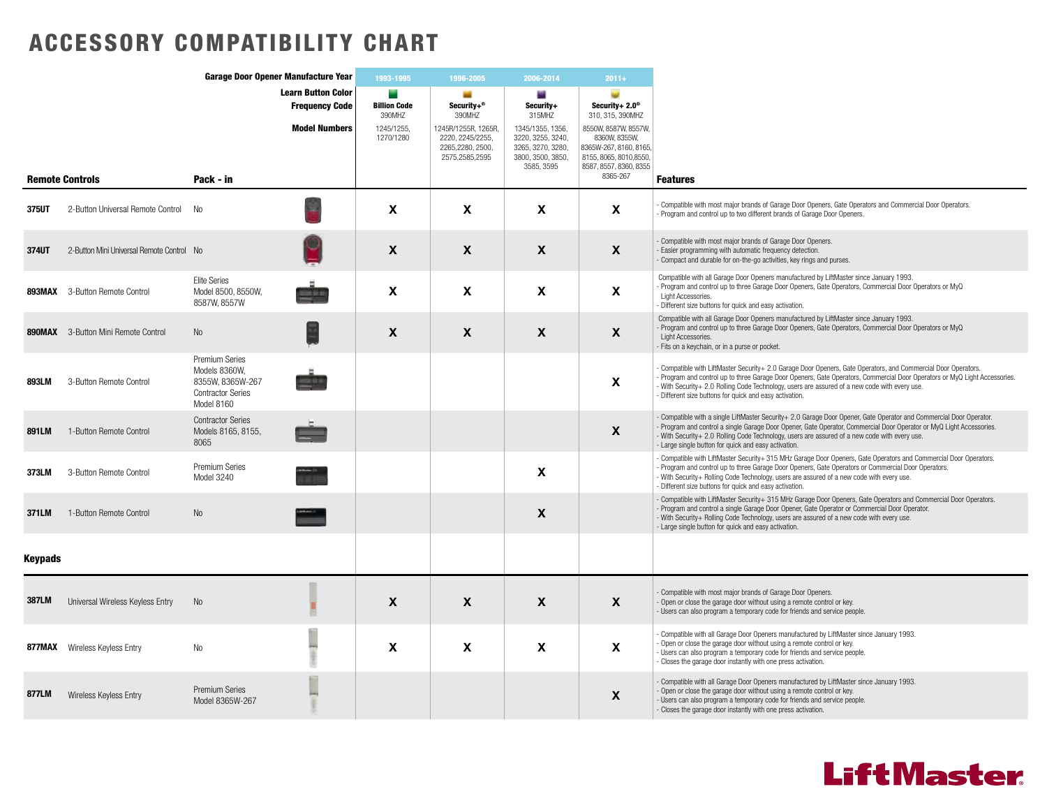## ACCESSORY COMPATIBILITY CHART

|                | Garage Door Opener Manufacture Year       |                                                                                                      | 1993-1995                                          | 1996-2005                     | 2006-2014                                                                     | $2011 +$                                                                                      |                                                                                                                                  |                                                                                                                                                                                                                                                                                                                                                                                                  |
|----------------|-------------------------------------------|------------------------------------------------------------------------------------------------------|----------------------------------------------------|-------------------------------|-------------------------------------------------------------------------------|-----------------------------------------------------------------------------------------------|----------------------------------------------------------------------------------------------------------------------------------|--------------------------------------------------------------------------------------------------------------------------------------------------------------------------------------------------------------------------------------------------------------------------------------------------------------------------------------------------------------------------------------------------|
|                |                                           |                                                                                                      | <b>Learn Button Color</b><br><b>Frequency Code</b> | <b>Billion Code</b><br>390MHZ | Security+®<br>390MHZ                                                          | Security+<br>315MHZ                                                                           | Security+ $2.0^\circ$<br>310, 315, 390MHZ                                                                                        |                                                                                                                                                                                                                                                                                                                                                                                                  |
|                |                                           |                                                                                                      | <b>Model Numbers</b>                               | 1245/1255,<br>1270/1280       | 1245R/1255R, 1265R,<br>2220, 2245/2255,<br>2265,2280, 2500,<br>2575,2585,2595 | 1345/1355, 1356,<br>3220, 3255, 3240,<br>3265, 3270, 3280,<br>3800, 3500, 3850,<br>3585, 3595 | 8550W, 8587W, 8557W,<br>8360W, 8355W,<br>8365W-267, 8160, 8165,<br>8155, 8065, 8010, 8550,<br>8587, 8557, 8360, 8355<br>8365-267 |                                                                                                                                                                                                                                                                                                                                                                                                  |
|                | <b>Remote Controls</b>                    | Pack - in                                                                                            |                                                    |                               |                                                                               |                                                                                               |                                                                                                                                  | <b>Features</b>                                                                                                                                                                                                                                                                                                                                                                                  |
| <b>375UT</b>   | 2-Button Universal Remote Control         | <b>No</b>                                                                                            |                                                    | $\mathbf{x}$                  | $\mathbf{x}$                                                                  | $\mathbf{x}$                                                                                  | X                                                                                                                                | Compatible with most major brands of Garage Door Openers, Gate Operators and Commercial Door Operators.<br>Program and control up to two different brands of Garage Door Openers.                                                                                                                                                                                                                |
| 374UT          | 2-Button Mini Universal Remote Control No |                                                                                                      |                                                    | $\mathbf{x}$                  | $\mathbf{x}$                                                                  | $\mathbf{x}$                                                                                  | $\mathbf{x}$                                                                                                                     | Compatible with most major brands of Garage Door Openers.<br>Easier programming with automatic frequency detection.<br>Compact and durable for on-the-go activities, key rings and purses.                                                                                                                                                                                                       |
|                | <b>893MAX</b> 3-Button Remote Control     | <b>Elite Series</b><br>Model 8500, 8550W.<br>8587W, 8557W                                            |                                                    | X                             | X                                                                             | X                                                                                             | Χ                                                                                                                                | Compatible with all Garage Door Openers manufactured by LiftMaster since January 1993.<br>Program and control up to three Garage Door Openers, Gate Operators, Commercial Door Operators or MyQ<br>Light Accessories.<br>Different size buttons for quick and easy activation.                                                                                                                   |
|                | 890MAX 3-Button Mini Remote Control       | N <sub>o</sub>                                                                                       |                                                    | X                             | $\mathbf{x}$                                                                  | $\boldsymbol{\mathsf{X}}$                                                                     | X                                                                                                                                | Compatible with all Garage Door Openers manufactured by LiftMaster since January 1993.<br>Program and control up to three Garage Door Openers, Gate Operators, Commercial Door Operators or MyQ<br>Light Accessories.<br>Fits on a keychain, or in a purse or pocket.                                                                                                                            |
| 893LM          | 3-Button Remote Control                   | <b>Premium Series</b><br>Models 8360W.<br>8355W. 8365W-267<br><b>Contractor Series</b><br>Model 8160 |                                                    |                               |                                                                               |                                                                                               | X                                                                                                                                | Compatible with LiftMaster Security+ 2.0 Garage Door Openers, Gate Operators, and Commercial Door Operators.<br>Program and control up to three Garage Door Openers, Gate Operators, Commercial Door Operators or MyQ Light Accessories.<br>With Security+ 2.0 Rolling Code Technology, users are assured of a new code with every use.<br>Different size buttons for quick and easy activation. |
| 891LM          | 1-Button Remote Control                   | <b>Contractor Series</b><br>Models 8165, 8155,<br>8065                                               |                                                    |                               |                                                                               |                                                                                               | X                                                                                                                                | Compatible with a single LiftMaster Security+ 2.0 Garage Door Opener, Gate Operator and Commercial Door Operator.<br>Program and control a single Garage Door Opener, Gate Operator, Commercial Door Operator or MyQ Light Accessories.<br>With Security+ 2.0 Rolling Code Technology, users are assured of a new code with every use.<br>Large single button for quick and easy activation.     |
| <b>373LM</b>   | 3-Button Remote Control                   | <b>Premium Series</b><br>Model 3240                                                                  |                                                    |                               |                                                                               | $\boldsymbol{\mathsf{x}}$                                                                     |                                                                                                                                  | Compatible with LiftMaster Security+ 315 MHz Garage Door Openers, Gate Operators and Commercial Door Operators.<br>Program and control up to three Garage Door Openers, Gate Operators or Commercial Door Operators.<br>With Security+ Rolling Code Technology, users are assured of a new code with every use.<br>Different size buttons for quick and easy activation.                         |
| 371LM          | 1-Button Remote Control                   | No                                                                                                   |                                                    |                               |                                                                               | $\mathbf{x}$                                                                                  |                                                                                                                                  | Compatible with LiftMaster Security+ 315 MHz Garage Door Openers, Gate Operators and Commercial Door Operators.<br>Program and control a single Garage Door Opener, Gate Operator or Commercial Door Operator.<br>With Security+ Rolling Code Technology, users are assured of a new code with every use.<br>- Large single button for quick and easy activation.                                |
| <b>Keypads</b> |                                           |                                                                                                      |                                                    |                               |                                                                               |                                                                                               |                                                                                                                                  |                                                                                                                                                                                                                                                                                                                                                                                                  |
| <b>387LM</b>   | Universal Wireless Keyless Entry          | No                                                                                                   |                                                    | $\mathbf{x}$                  | $\boldsymbol{X}$                                                              | $\boldsymbol{X}$                                                                              | $\mathbf{x}$                                                                                                                     | Compatible with most maior brands of Garage Door Openers.<br>Open or close the garage door without using a remote control or key.<br>Users can also program a temporary code for friends and service people.                                                                                                                                                                                     |
|                | <b>877MAX</b> Wireless Keyless Entry      | <b>No</b>                                                                                            |                                                    | $\mathbf{x}$                  | $\mathbf{x}$                                                                  | $\mathbf{x}$                                                                                  | X                                                                                                                                | Compatible with all Garage Door Openers manufactured by LiftMaster since January 1993.<br>Open or close the garage door without using a remote control or key.<br>Users can also program a temporary code for friends and service people.<br>Closes the garage door instantly with one press activation.                                                                                         |
| 877LM          | Wireless Keyless Entry                    | Premium Series<br>Model 8365W-267                                                                    |                                                    |                               |                                                                               |                                                                                               | X                                                                                                                                | Compatible with all Garage Door Openers manufactured by LiftMaster since January 1993.<br>Open or close the garage door without using a remote control or key.<br>Users can also program a temporary code for friends and service people.<br>Closes the garage door instantly with one press activation.                                                                                         |